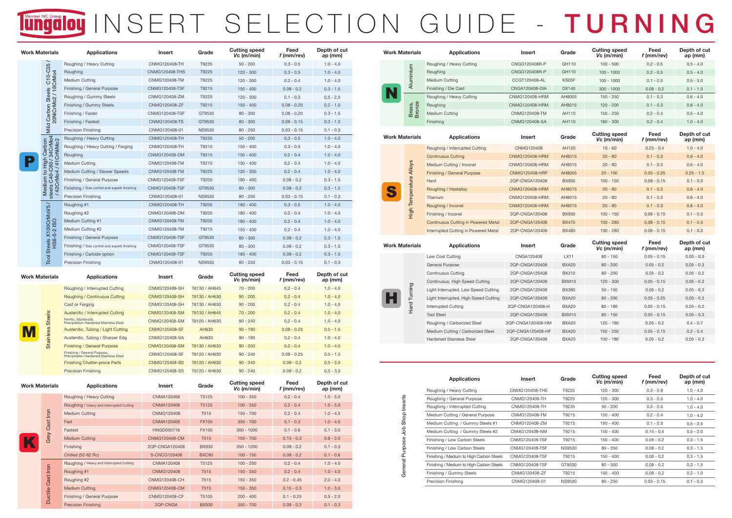| <b>Feed</b><br>f (mm/rev) | Depth of cut<br>ap (mm) |
|---------------------------|-------------------------|
| $0.3 - 0.5$               | $1.0 - 4.0$             |
| $0.3 - 0.5$               | $1.0 - 4.0$             |
| $0.2 - 0.4$               | $1.0 - 4.0$             |
| $0.08 - 0.2$              | $0.3 - 1.5$             |
| $0.1 - 0.3$               | $0.5 - 2.5$             |
| $0.08 - 0.20$             | $0.2 - 1.0$             |
| $0.08 - 0.20$             | $0.3 - 1.5$             |
| $0.08 - 0.15$             | $0.3 - 1.0$             |
| $0.03 - 0.15$             | $0.1 - 0.3$             |
| $0.3 - 0.5$               | $1.0 - 4.0$             |
| $0.3 - 0.5$               | $1.0 - 4.0$             |
| $0.2 - 0.4$               | $1.0 - 4.0$             |
| $0.2 - 0.4$               | $1.0 - 4.0$             |
| $0.2 - 0.4$               | $1.0 - 4.0$             |
| $0.08 - 0.2$              | $0.3 - 1.5$             |
| $0.08 - 0.2$              | $0.3 - 1.5$             |
| $0.03 - 0.15$             | $0.1 - 0.3$             |
| $0.3 - 0.5$               | $1.0 - 4.0$             |
| $0.2 - 0.4$               | $1.0 - 4.0$             |
| $0.2 - 0.4$               | $1.0 - 4.0$             |
| $0.2 - 0.4$               | $1.0 - 4.0$             |
| $0.08 - 0.2$              | $0.3 - 1.5$             |
| $0.08 - 0.2$              | $0.3 - 1.5$             |
| $0.08 - 0.2$              | $0.3 - 1.5$             |
| $0.03 - 0.15$             | $0.1 - 0.3$             |

| Feed<br>f (mm/rev) | <b>Depth of cut</b><br>ap (mm) |
|--------------------|--------------------------------|
| $0.2 - 0.4$        | $1.0 - 5.0$                    |
| $0.2 - 0.4$        | $1.0 - 5.0$                    |
| $0.2 - 0.4$        | $1.0 - 4.5$                    |
| $0.1 - 0.3$        | $1.0 - 4.0$                    |
| $0.1 - 0.6$        | $0.1 - 3.0$                    |
| $0.15 - 0.3$       | $0.6 - 3.0$                    |
| $0.08 - 0.2$       | $0.1 - 0.3$                    |
| $0.08 - 0.2$       | $0.1 - 0.6$                    |
| $0.2 - 0.4$        | $1.0 - 4.0$                    |
| $0.2 - 0.4$        | $1.0 - 4.0$                    |
| $0.2 - 0.45$       | $2.0 - 4.0$                    |
| $0.15 - 0.3$       | $1.0 - 3.0$                    |
| $0.1 - 0.25$       | $0.5 - 2.0$                    |
| $0.08 - 0.2$       | $0.1 - 0.3$                    |

| <b>Feed</b><br>f (mm/rev) | Depth of cut<br>ap (mm) |
|---------------------------|-------------------------|
| $0.2 - 0.4$               | $1.0 - 4.0$             |
| $0.2 - 0.4$               | $1.0 - 4.0$             |
| $0.2 - 0.4$               | $1.0 - 4.0$             |
| $0.2 - 0.4$               | $1.0 - 4.0$             |
| $0.2 - 0.4$               | $1.0 - 4.0$             |
| $0.08 - 0.25$             | $0.5 - 1.5$             |
| $0.2 - 0.4$               | $1.0 - 4.0$             |
| $0.2 - 0.4$               | $1.0 - 4.0$             |
| $0.08 - 0.25$             | $0.5 - 1.5$             |
| $0.08 - 0.2$              | $0.5 - 3.0$             |
| $0.08 - 0.2$              | $0.5 - 3.0$             |

## Tungalou INSERT SELECTION GUIDE - TURNING

| <b>Work Materials</b> |                                                           | <b>Applications</b>                                                    | <b>Insert</b>         | Grade         | <b>Cutting speed</b><br>$Vc$ (m/min) | <b>Feed</b><br>$f$ (mm/rev) | Depth of<br>ap (mm |
|-----------------------|-----------------------------------------------------------|------------------------------------------------------------------------|-----------------------|---------------|--------------------------------------|-----------------------------|--------------------|
|                       | 35                                                        | Roughing / Heavy Cutting                                               | <b>CNMG120408-TH</b>  | T9235         | $50 - 200$                           | $0.3 - 0.5$                 | $1.0 - 4.0$        |
|                       | $\mathbf C$                                               | Roughing                                                               | <b>CNMG120408-THS</b> | T9225         | $120 - 300$                          | $0.3 - 0.5$                 | $1.0 - 4.0$        |
|                       | 18CrMo4<br>$\overline{6}$                                 | <b>Medium Cutting</b>                                                  | <b>CNMG120408-TM</b>  | T9225         | $120 - 300$                          | $0.2 - 0.4$                 | $1.0 - 4.0$        |
| <b>Steels</b>         |                                                           | <b>Finishing / General Purpose</b>                                     | <b>CNMG120408-TSF</b> | T9215         | $150 - 400$                          | $0.08 - 0.2$                | $0.3 - 1.5$        |
|                       | $\overbrace{\rule{2.5cm}{0pt}}$                           | Roughing / Gummy Steels                                                | <b>CNMG120408-ZM</b>  | T9225         | $120 - 300$                          | $0.1 - 0.3$                 | $0.5 - 2.5$        |
|                       | 20NiCrMo2                                                 | <b>Finishing / Gummy Steels</b>                                        | <b>CNMG120408-ZF</b>  | T9215         | $150 - 400$                          | $0.08 - 0.20$               | $0.2 - 1.0$        |
|                       | arbon                                                     | Finishing / Faster                                                     | <b>CNMG120408-TSF</b> | GT9530        | $80 - 300$                           | $0.08 - 0.20$               | $0.3 - 1.5$        |
|                       | Ő                                                         | Finishing / Fastest                                                    | <b>CNMG120408-TS</b>  | GT9530        | $80 - 300$                           | $0.08 - 0.15$               | $0.3 - 1.0$        |
|                       | Mild                                                      | <b>Precision Finishing</b>                                             | CNMG120408-01         | <b>NS9530</b> | $80 - 250$                           | $0.03 - 0.15$               | $0.1 - 0.3$        |
|                       |                                                           | Roughing / Heavy Cutting                                               | <b>CNMG120408-TH</b>  | T9235         | $50 - 200$                           | $0.3 - 0.5$                 | $1.0 - 4.0$        |
|                       | noqie.                                                    | Roughing / Heavy Cutting / Forging                                     | <b>CNMG120408-TH</b>  | T9215         | $150 - 400$                          | $0.3 - 0.5$                 | $1.0 - 4.0$        |
|                       | /34CrMo4<br>CrNiMo2<br>34 <sub>l</sub>                    | Roughing                                                               | <b>CNMG120408-DM</b>  | T9215         | $150 - 400$                          | $0.2 - 0.4$                 | $1.0 - 4.0$        |
|                       | <b>lg</b><br>$\Delta$<br>60                               | <b>Medium Cutting</b>                                                  | <b>CNMG120408-TM</b>  | T9215         | $150 - 400$                          | $0.2 - 0.4$                 | $1.0 - 4.0$        |
|                       | $\overline{5}$<br>$\mathbf{S}$<br>$\overline{\mathsf{d}}$ | <b>Medium Cutting / Slower Speeds</b>                                  | <b>CNMG120408-TM</b>  | T9225         | $120 - 300$                          | $0.2 - 0.4$                 | $1.0 - 4.0$        |
|                       | CrM<br>$\mathcal{C}$                                      | Finishing / General Purpose                                            | <b>CNMG120408-TSF</b> | T9205         | $180 - 400$                          | $0.08 - 0.2$                | $0.3 - 1.5$        |
|                       | Medium<br>steels C4<br>steels C4                          | Finishing / Size control and superb finishing                          | <b>CNMG120408-TSF</b> | GT9530        | $80 - 300$                           | $0.08 - 0.2$                | $0.3 - 1.5$        |
|                       |                                                           | <b>Precision Finishing</b>                                             | CNMG120408-01         | <b>NS9530</b> | $80 - 250$                           | $0.03 - 0.15$               | $0.1 - 0.3$        |
|                       | <b>Steels X100CrMoV5</b><br>HS6-5-2 ISO                   | Roughing #1                                                            | <b>CNMG120408-TH</b>  | T9205         | $180 - 400$                          | $0.3 - 0.5$                 | $1.0 - 4.0$        |
|                       |                                                           | Roughing #2                                                            | <b>CNMG120408-DM</b>  | T9205         | $180 - 400$                          | $0.2 - 0.4$                 | $1.0 - 4.0$        |
|                       |                                                           | <b>Medium Cutting #1</b>                                               | <b>CNMG120408-TM</b>  | T9205         | $180 - 400$                          | $0.2 - 0.4$                 | $1.0 - 4.0$        |
|                       |                                                           | Medium Cutting #2                                                      | <b>CNMG120408-TM</b>  | T9215         | $150 - 400$                          | $0.2 - 0.4$                 | $1.0 - 4.0$        |
|                       |                                                           | <b>Finishing / General Purpose</b>                                     | <b>CNMG120408-TSF</b> | GT9530        | $80 - 300$                           | $0.08 - 0.2$                | $0.3 - 1.5$        |
|                       |                                                           | Finishing / Size control and superb finishing                          | <b>CNMG120408-TSF</b> | GT9530        | $80 - 300$                           | $0.08 - 0.2$                | $0.3 - 1.5$        |
|                       |                                                           | Finishing / Carbide option                                             | <b>CNMG120408-TSF</b> | T9205         | $180 - 400$                          | $0.08 - 0.2$                | $0.3 - 1.5$        |
|                       | <b>Tool</b>                                               | <b>Precision Finishing</b>                                             | CNMG120408-01         | <b>NS9530</b> | $80 - 250$                           | $0.03 - 0.15$               | $0.1 - 0.3$        |
| <b>Work Materials</b> |                                                           | <b>Applications</b>                                                    | <b>Insert</b>         | Grade         | <b>Cutting speed</b><br>$Vc$ (m/min) | <b>Feed</b><br>f (mm/rev)   | Depth of<br>ap (mm |
|                       |                                                           | <b>Roughing / Interrupted Cutting</b>                                  | <b>CNMG120408-SH</b>  | T6130 / AH645 | $70 - 200$                           | $0.2 - 0.4$                 | $1.0 - 4.0$        |
|                       |                                                           | <b>Roughing / Continuous Cutting</b>                                   | <b>CNMG120408-SH</b>  | T6130 / AH630 | $90 - 200$                           | $0.2 - 0.4$                 | $1.0 - 4.0$        |
|                       |                                                           | <b>Cast or Forging</b>                                                 | <b>CNMG120408-SH</b>  | T6130 / AH630 | $90 - 200$                           | $0.2 - 0.4$                 | $1.0 - 4.0$        |
|                       |                                                           | <b>Austenitic / Interrupted Cutting</b>                                | <b>CNMG120408-SM</b>  | T6130 / AH645 | $70 - 200$                           | $0.2 - 0.4$                 | $1.0 - 4.0$        |
|                       | <b>Steels</b>                                             | Ferritic, Martensite,<br><b>Precipitation Hardened Stainless Steel</b> | <b>CNMG120408-SM</b>  | T6120 / AH630 | $90 - 240$                           | $0.2 - 0.4$                 | $1.0 - 4.0$        |
|                       | S <sup>o</sup>                                            | Austenitic, Tubing / Light Cutting                                     | <b>CNMG120408-SF</b>  | AH630         | $90 - 190$                           | $0.08 - 0.25$               | $0.5 - 1.5$        |
|                       | <b>Stainle</b>                                            | Austenitic, Tubing / Sharper Edg                                       | <b>CNMG120408-SA</b>  | AH630         | $90 - 190$                           | $0.2 - 0.4$                 | $1.0 - 4.0$        |
|                       |                                                           | <b>Finishing / General Purpose</b>                                     | <b>CNMG120408-SM</b>  | T6130 / AH630 | $90 - 200$                           | $0.2 - 0.4$                 | $1.0 - 4.0$        |

Finishing / General Purpose,

**Precipitation Hardened Stainless Steel** 

4.0 - 1.0 0.4 - 0.2 200 - 90 630AH / 6130T SM120408-CNMG Purpose General / Finishing

Finishing Chatter-prone Parts **CNMG120408-SS** T6120 / AH630 90 - 240

CNMG120408-SF T6120 / AH630 90 - 240

|                       |                | <b>Precision Finishing</b>               | <b>CNMG120408-SS</b> | T6120 / AH630 | $90 - 240$                           | $0.08 - 0.2$              | $0.5 - 3.0$        |
|-----------------------|----------------|------------------------------------------|----------------------|---------------|--------------------------------------|---------------------------|--------------------|
| <b>Work Materials</b> |                | <b>Applications</b>                      | <b>Insert</b>        | <b>Grade</b>  | <b>Cutting speed</b><br>$Vc$ (m/min) | <b>Feed</b><br>f (mm/rev) | Depth of<br>ap (mm |
|                       |                | <b>Roughing / Heavy Cutting</b>          | <b>CNMA120408</b>    | T5125         | $100 - 350$                          | $0.2 - 0.4$               | $1.0 - 5.0$        |
|                       |                | Roughing / Heavy and Interrupted Cutting | <b>CNMA120408</b>    | T5125         | $100 - 350$                          | $0.2 - 0.4$               | $1.0 - 5.0$        |
|                       | Iron           | <b>Medium Cutting</b>                    | <b>CNMG120408</b>    | T515          | $150 - 700$                          | $0.2 - 0.4$               | $1.0 - 4.5$        |
|                       | Cast           | Fast                                     | <b>CNMA120408</b>    | <b>FX105</b>  | $350 - 700$                          | $0.1 - 0.3$               | $1.0 - 4.0$        |
|                       |                | Fastest                                  | <b>HNGD050716</b>    | <b>FX105</b>  | $300 - 1000$                         | $0.1 - 0.6$               | $0.1 - 3.0$        |
|                       | Grey           | <b>Medium Cutting</b>                    | <b>CNMG120408-CM</b> | T515          | $150 - 700$                          | $0.15 - 0.3$              | $0.6 - 3.0$        |
|                       |                | <b>Finishing</b>                         | 2QP-CNGA120408       | <b>BX930</b>  | $350 - 1200$                         | $0.08 - 0.2$              | $0.1 - 0.3$        |
|                       |                | <b>Chilled (52-62 Rc)</b>                | <b>S-CNCG120408</b>  | <b>BXC90</b>  | $100 - 150$                          | $0.08 - 0.2$              | $0.1 - 0.6$        |
|                       |                | Roughing / Heavy and Interrupted Cutting | <b>CNMA120408</b>    | T5125         | $100 - 250$                          | $0.2 - 0.4$               | $1.0 - 4.0$        |
|                       | Iron           | Roughing #1                              | <b>CNMG120408</b>    | T515          | $150 - 350$                          | $0.2 - 0.4$               | $1.0 - 4.0$        |
|                       | Cast           | Roughing #2                              | <b>CNMG120408-CH</b> | T515          | $150 - 350$                          | $0.2 - 0.45$              | $2.0 - 4.0$        |
|                       |                | <b>Medium Cutting</b>                    | <b>CNMG120408-CM</b> | T515          | $150 - 350$                          | $0.15 - 0.3$              | $1.0 - 3.0$        |
|                       | <b>Ductile</b> | <b>Finishing / General Purpose</b>       | <b>CNMG120408-CF</b> | T5105         | $200 - 400$                          | $0.1 - 0.25$              | $0.5 - 2.0$        |
|                       |                | <b>Precision Finishing</b>               | 2QP-CNGA             | <b>BX930</b>  | $350 - 700$                          | $0.08 - 0.2$              | $0.1 - 0.3$        |

| <b>Work Materials</b> |                                                                        | <b>Applications</b>                         | <b>Insert</b>                        | Grade                       | <b>Cutting speed</b><br>$Vc$ (m/min) | <b>Feed</b><br>f (mm/rev)   | Depth of cut<br>ap (mm) |
|-----------------------|------------------------------------------------------------------------|---------------------------------------------|--------------------------------------|-----------------------------|--------------------------------------|-----------------------------|-------------------------|
|                       |                                                                        | Roughing / Heavy Cutting                    | <b>CNGG120408R-P</b>                 | <b>GH110</b>                | $100 - 500$                          | $0.2 - 0.5$                 | $0.5 - 4.0$             |
|                       |                                                                        | Roughing                                    | <b>CNGG120408R-P</b>                 | <b>GH110</b>                | $100 - 1000$                         | $0.2 - 0.5$                 | $0.5 - 4.0$             |
|                       | Aluminium                                                              | <b>Medium Cutting</b>                       | <b>CCGT120408-AL</b>                 | KS05F                       | $100 - 1000$                         | $0.1 - 0.5$                 | $0.5 - 5.0$             |
|                       |                                                                        | Finishing / Die Cast                        | <b>CNGA120408-DIA</b>                | <b>DX140</b>                | $300 - 1000$                         | $0.08 - 0.2$                | $0.1 - 1.0$             |
|                       |                                                                        | Roughing / Heavy Cutting                    | <b>CNMG120408-HRM</b>                | AH8005                      | $150 - 250$                          | $0.1 - 0.3$                 | $0.6 - 4.0$             |
|                       |                                                                        | Roughing                                    | <b>CNMG120408-HRM</b>                | AH8015                      | $120 - 200$                          | $0.1 - 0.3$                 | $0.6 - 4.0$             |
|                       | Brass,<br>Bronze                                                       | <b>Medium Cutting</b>                       | <b>CNMG120408-TM</b>                 | <b>AH110</b>                | $150 - 250$                          | $0.2 - 0.4$                 | $0.5 - 4.0$             |
|                       |                                                                        | Finishing                                   | <b>CNMG120408-SA</b>                 | <b>AH110</b>                | $180 - 300$                          | $0.2 - 0.4$                 | $1.0 - 4.0$             |
| <b>Work Materials</b> |                                                                        | <b>Applications</b>                         | <b>Insert</b>                        | Grade                       | <b>Cutting speed</b><br>$Vc$ (m/min) | <b>Feed</b><br>$f$ (mm/rev) | Depth of cut<br>ap (mm) |
|                       |                                                                        | Roughing / Interrupted Cutting              | <b>CNMG120408</b>                    | <b>AH120</b>                | $10 - 60$                            | $0.25 - 0.4$                | $1.0 - 4.0$             |
|                       |                                                                        | <b>Continuous Cutting</b>                   | <b>CNMG120408-HRM</b>                | AH8015                      | $20 - 80$                            | $0.1 - 0.3$                 | $0.6 - 4.0$             |
|                       | <b>Alloys</b>                                                          | <b>Medium Cutting / Inconel</b>             | <b>CNMG120408-HRM</b>                | AH8015                      | $20 - 80$                            | $0.1 - 0.3$                 | $0.6 - 4.0$             |
|                       |                                                                        | <b>Finishing / General Purpose</b>          | <b>CNMG120408-HRF</b>                | AH8005                      | $20 - 100$                           | $0.05 - 0.25$               | $0.25 - 1.5$            |
|                       | ure<br>Temperat                                                        | Hard                                        | 2QP-CNGA120408                       | <b>BX950</b>                | $100 - 150$                          | $0.08 - 0.15$               | $0.1 - 0.3$             |
|                       |                                                                        | <b>Roughing / Hastalloy</b>                 | <b>CNMG120408-HRM</b>                | AH8015                      | $20 - 80$                            | $0.1 - 0.3$                 | $0.6 - 4.0$             |
|                       |                                                                        | Titanium                                    | <b>CNMG120408-HRM</b>                | AH8015                      | $20 - 80$                            | $0.1 - 0.3$                 | $0.6 - 4.0$             |
|                       |                                                                        | Roughing / Inconel                          | <b>CNMG120408-HRM</b>                | AH8015                      | $20 - 80$                            | $0.1 - 0.3$                 | $0.6 - 4.0$             |
|                       | High                                                                   | Finishing / Inconel                         | 2QP-CNGA120408                       | <b>BX950</b>                | $100 - 150$                          | $0.08 - 0.15$               | $0.1 - 0.3$             |
|                       |                                                                        | <b>Continuous Cutting in Powered Metal</b>  | 2QP-CNGA120408                       | <b>BX470</b>                | $100 - 280$                          | $0.08 - 0.15$               | $0.1 - 0.5$             |
|                       |                                                                        | <b>Interrupted Cutting in Powered Metal</b> | 2QP-CNGA120408                       | <b>BX480</b>                | $100 - 280$                          | $0.08 - 0.15$               | $0.1 - 0.3$             |
|                       | <b>Work Materials</b><br><b>Applications</b><br>Grade<br><b>Insert</b> |                                             | <b>Cutting speed</b><br>$Vc$ (m/min) | <b>Feed</b><br>$f$ (mm/rev) | Depth of cut<br>ap (mm)              |                             |                         |
|                       |                                                                        | Low Cost Cutting                            | <b>CNGA120408</b>                    | <b>LX11</b>                 | $80 - 150$                           | $0.05 - 0.15$               | $0.05 - 0.3$            |
|                       |                                                                        | <b>General Purpose</b>                      | 2QP-CNGA120408                       | BXA20                       | $80 - 200$                           | $0.05 - 0.2$                | $0.05 - 0.3$            |
|                       |                                                                        | <b>Continuous Cutting</b>                   | 2QP-CNGA120408                       | <b>BX310</b>                | $80 - 200$                           | $0.05 - 0.2$                | $0.05 - 0.2$            |
|                       |                                                                        | <b>Continuous, High Speed Cutting</b>       | 2QP-CNGA120408                       | BXM10                       | $120 - 300$                          | $0.05 - 0.15$               | $0.05 - 0.3$            |
|                       | Turning                                                                | Light Interrupted, Low Speed Cutting        | 2QP-CNGA120408                       | <b>BX360</b>                | $50 - 150$                           | $0.05 - 0.2$                | $0.05 - 0.3$            |
|                       |                                                                        | Light Interrupted, High Speed Cutting       | 2QP-CNGA120408                       | <b>BXA20</b>                | $80 - 200$                           | $0.05 - 0.25$               | $0.05 - 0.3$            |
|                       | Hard                                                                   | <b>Interrupted Cutting</b>                  | 2QP-CNGA120408-H                     | <b>BXA20</b>                | $80 - 180$                           | $0.05 - 0.15$               | $0.05 - 0.2$            |
|                       |                                                                        | <b>Tool Steel</b>                           | 2QP-CNGA120408                       | BXM10                       | $80 - 150$                           | $0.05 - 0.15$               | $0.05 - 0.3$            |
|                       |                                                                        | Roughing / Carborized Steel                 | 2QP-CNGA120408-HM                    | <b>BXA20</b>                | $120 - 180$                          | $0.05 - 0.2$                | $0.4 - 0.7$             |
|                       |                                                                        | Medium Cutting / Carborized Steel           | 2QP-CNGA120408-HF                    | <b>BXA20</b>                | $150 - 250$                          | $0.05 - 0.15$               | $0.2 - 0.4$             |
|                       |                                                                        | <b>Hardened Stainless Steel</b>             | 2QP-CNGA120408                       | BXA20                       | $100 - 180$                          | $0.05 - 0.2$                | $0.05 - 0.3$            |

| <b>Low Cost Cutting</b>               | CNGA120     |
|---------------------------------------|-------------|
| <b>General Purpose</b>                | 2QP-CNGA1   |
| <b>Continuous Cutting</b>             | 2QP-CNGA1   |
| Continuous, High Speed Cutting        | 2QP-CNGA1   |
| Light Interrupted, Low Speed Cutting  | 2QP-CNGA1   |
| Light Interrupted, High Speed Cutting | 2QP-CNGA1   |
| <b>Interrupted Cutting</b>            | 2QP-CNGA12  |
| <b>Tool Steel</b>                     | 2QP-CNGA1   |
| Roughing / Carborized Steel           | 2QP-CNGA120 |
| Medium Cutting / Carborized Steel     | 2QP-CNGA120 |
| <b>Hardened Stainless Steel</b>       | 2QP-CNGA1   |
|                                       |             |

General Purpose Job Shop Inserts

| <b>Applications</b>                      | <b>Insert</b>         | Grade         | <b>Cutting speed</b><br>$Vc$ (m/min) | <b>Feed</b><br>$f$ (mm/rev) | Depth of cut<br>ap (mm) |
|------------------------------------------|-----------------------|---------------|--------------------------------------|-----------------------------|-------------------------|
| Roughing / Heavy Cutting                 | <b>CNMG120408-THS</b> | T9225         | $120 - 300$                          | $0.3 - 0.9$                 | $1.0 - 4.0$             |
| Roughing / General Purpose               | <b>CNMG120408-TH</b>  | T9225         | $120 - 300$                          | $0.3 - 0.5$                 | $1.0 - 4.0$             |
| Roughing / Interrupted Cutting           | <b>CNMG120408-TH</b>  | T9235         | $50 - 200$                           | $0.3 - 0.5$                 | $1.0 - 4.0$             |
| Medium Cutting / General Purpose         | <b>CNMG120408-TM</b>  | T9215         | $150 - 400$                          | $0.2 - 0.4$                 | $1.0 - 4.0$             |
| Medium Cutting / Gummy Steels #1         | <b>CNMG120408-ZM</b>  | T9215         | $150 - 400$                          | $0.1 - 0.3$                 | $0.5 - 2.5$             |
| Medium Cutting / Gummy Steels #2         | <b>CNMG120408-NM</b>  | T9215         | $150 - 400$                          | $0.15 - 0.4$                | $0.5 - 2.0$             |
| Finishing / Low Carbon Steels            | <b>CNMG120408-TSF</b> | T9215         | $150 - 400$                          | $0.08 - 0.2$                | $0.3 - 1.5$             |
| Finishing / Low Carbon Steels            | <b>CNMG120408-TSF</b> | <b>NS9530</b> | $80 - 250$                           | $0.08 - 0.2$                | $0.3 - 1.5$             |
| Finishing / Medium to High Carbon Steels | <b>CNMG120408-TSF</b> | T9215         | $150 - 400$                          | $0.08 - 0.2$                | $0.3 - 1.5$             |
| Finishing / Medium to High Carbon Steels | <b>CNMG120408-TSF</b> | GT9530        | $80 - 300$                           | $0.08 - 0.2$                | $0.3 - 1.5$             |
| Finishing / Gummy Steels                 | <b>CNMG120408-ZF</b>  | T9215         | $150 - 400$                          | $0.08 - 0.2$                | $0.2 - 1.0$             |
| <b>Precision Finishing</b>               | CNMG120408-01         | <b>NS9530</b> | $80 - 250$                           | $0.03 - 0.15$               | $0.1 - 0.3$             |
|                                          |                       |               |                                      |                             |                         |